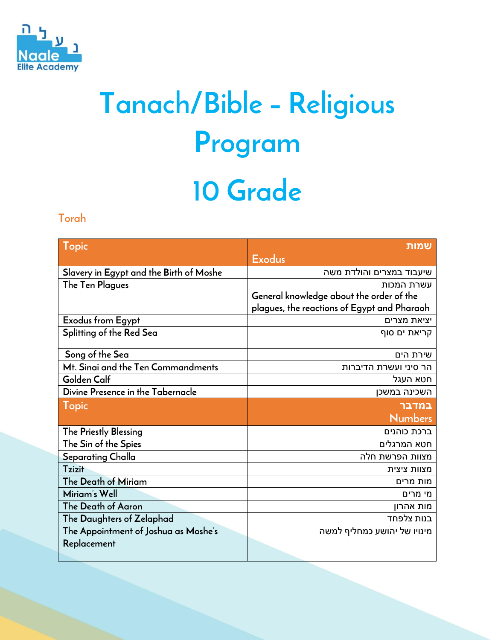

# **Tanach/Bible – Religious Program 10 Grade**

#### **Torah**

| Topic                                   | שמות                                        |
|-----------------------------------------|---------------------------------------------|
|                                         | <b>Exodus</b>                               |
| Slavery in Egypt and the Birth of Moshe | שיעבוד במצרים והולדת משה                    |
| The Ten Plagues                         | עשרת המכות                                  |
|                                         | General knowledge about the order of the    |
|                                         | plagues, the reactions of Egypt and Pharaoh |
| Exodus from Egypt                       | יציאת מצרים                                 |
| Splitting of the Red Sea                | קריאת ים סוף                                |
| Song of the Sea                         | שירת הים                                    |
| Mt. Sinai and the Ten Commandments      | הר סיני ועשרת הדיברות                       |
| Golden Calf                             | חטא העגל                                    |
| Divine Presence in the Tabernacle       | השכינה במשכן                                |
| Topic                                   | במדבר                                       |
|                                         | <b>Numbers</b>                              |
| The Priestly Blessing                   | ברכת כוהנים                                 |
| The Sin of the Spies                    | חטא המרגלים                                 |
| Separating Challa                       | מצוות הפרשת חלה                             |
| <b>Tzizit</b>                           | מצוות ציצית                                 |
| The Death of Miriam                     | מות מרים                                    |
| Miriam's Well                           | מי מרים                                     |
| The Death of Aaron                      | מות אהרון                                   |
| The Daughters of Zelaphad               | בנות צלפחד                                  |
| The Appointment of Joshua as Moshe's    | מינויו של יהושע כמחליף למשה                 |
| Replacement                             |                                             |
|                                         |                                             |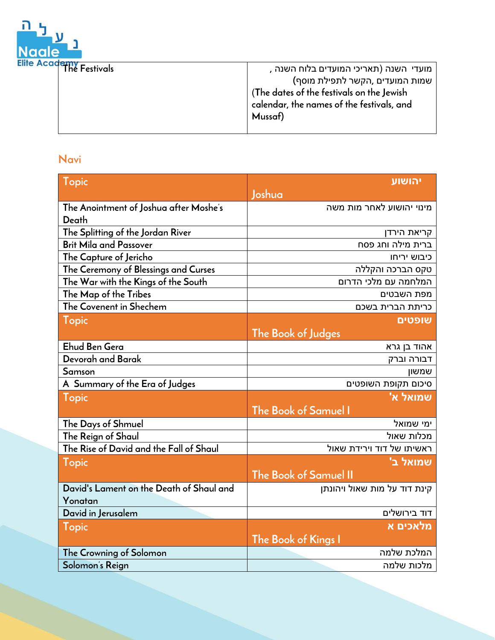

| The Festivals | מועדי השנה (תאריכי המועדים בלוח השנה ,    |
|---------------|-------------------------------------------|
|               | שמות המועדים ,הקשר לתפילת מוסף)           |
|               | The dates of the festivals on the Jewish  |
|               | calendar, the names of the festivals, and |
|               | Mussaf)                                   |
|               |                                           |

#### **Navi**

| Topic                                    | יהושוע                       |
|------------------------------------------|------------------------------|
|                                          | Joshua                       |
| The Anointment of Joshua after Moshe's   | מינוי יהושוע לאחר מות משה    |
| Death                                    |                              |
| The Splitting of the Jordan River        | קריאת הירדן                  |
| <b>Brit Mila and Passover</b>            | ברית מילה וחג פסח            |
| The Capture of Jericho                   | כיבוש יריחו                  |
| The Ceremony of Blessings and Curses     | טקס הברכה והקללה             |
| The War with the Kings of the South      | המלחמה עם מלכי הדרום         |
| The Map of the Tribes                    | מפת השבטים                   |
| The Covenent in Shechem                  | כריתת הברית בשכם             |
| Topic                                    | שופטים                       |
|                                          | The Book of Judges           |
| Ehud Ben Gera                            | אהוד בן גרא                  |
| Devorah and Barak                        | דבורה וברק                   |
| Samson                                   | שמשון                        |
| A Summary of the Era of Judges           | סיכום תקופת השופטים          |
| Topic                                    | שמואל א'                     |
|                                          | The Book of Samuel I         |
| The Days of Shmuel                       | ימי שמואל                    |
| The Reign of Shaul                       | מכלות שאול                   |
| The Rise of David and the Fall of Shaul  | ראשיתו של דוד וירידת שאול    |
| <b>Topic</b>                             | 'שמואל ב                     |
|                                          | The Book of Samuel II        |
| David's Lament on the Death of Shaul and | קינת דוד על מות שאול ויהונתן |
| Yonatan                                  |                              |
| David in Jerusalem                       | דוד בירושלים                 |
| <b>Topic</b>                             | מלאכים א                     |
|                                          | The Book of Kings I          |
| The Crowning of Solomon                  | המלכת שלמה                   |
| Solomon's Reign                          | מלכות שלמה                   |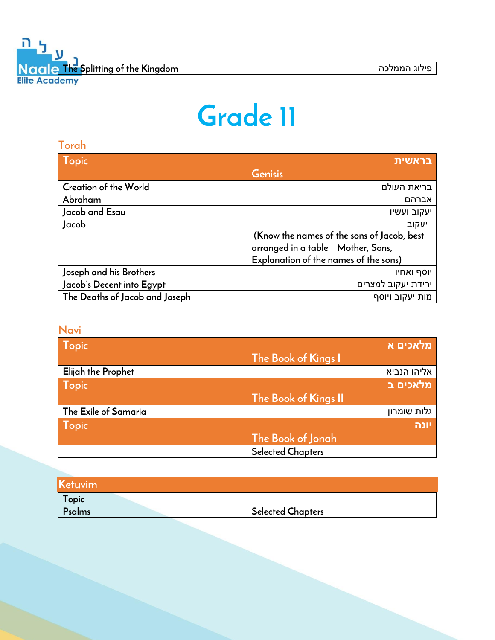## **Grade 11**

| Torah                          |                                            |
|--------------------------------|--------------------------------------------|
| <b>Topic</b>                   | בראשית                                     |
|                                | Genisis                                    |
| <b>Creation of the World</b>   | בריאת העולם                                |
| Abraham                        | אברהם                                      |
| Jacob and Esau                 | יעקוב ועשיו                                |
| Jacob                          | יעקוב                                      |
|                                | (Know the names of the sons of Jacob, best |
|                                | arranged in a table Mother, Sons,          |
|                                | Explanation of the names of the sons)      |
| Joseph and his Brothers        | יוסף ואחיו                                 |
| Jacob's Decent into Egypt      | ירידת יעקוב למצרים                         |
| The Deaths of Jacob and Joseph | מות יעקוב ויוסף                            |

#### **Navi**

| Topic                | <u>מלאכים א</u>          |
|----------------------|--------------------------|
|                      | The Book of Kings I      |
| Elijah the Prophet   | אליהו הנביא              |
| <b>Topic</b>         | מלאכים ב                 |
|                      | The Book of Kings II     |
| The Exile of Samaria | גלות שומרון              |
| <b>Topic</b>         | יונה                     |
|                      | The Book of Jonah        |
|                      | <b>Selected Chapters</b> |

| Ketuvim |                          |
|---------|--------------------------|
| Topic   |                          |
| Psalms  | <b>Selected Chapters</b> |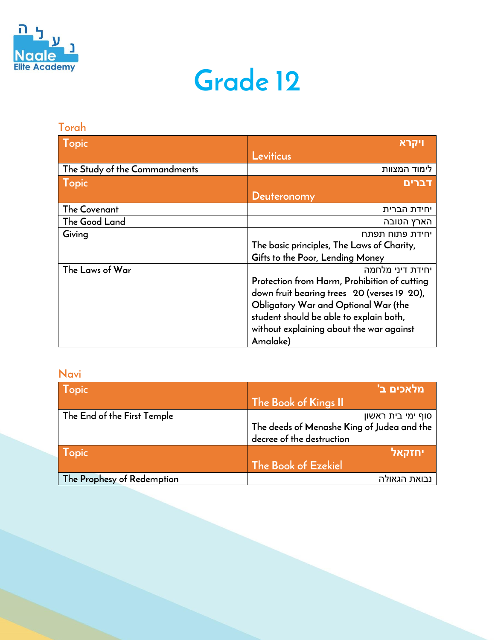

### **Grade 12**

#### **Torah**

| <b>Topic</b>                  | ויקרא                                        |
|-------------------------------|----------------------------------------------|
|                               | Leviticus                                    |
| The Study of the Commandments | לימוד המצוות                                 |
| <b>Topic</b>                  | <u>דברים</u>                                 |
|                               | Deuteronomy                                  |
| The Covenant                  | יחידת הברית                                  |
| The Good Land                 | הארץ הטובה                                   |
| Giving                        | יחידת פתוח תפתח                              |
|                               | The basic principles, The Laws of Charity,   |
|                               | Gifts to the Poor, Lending Money             |
| The Laws of War               | יחידת דיני מלחמה                             |
|                               | Protection from Harm, Prohibition of cutting |
|                               | down fruit bearing trees 20 (verses 19 20),  |
|                               | Obligatory War and Optional War (the         |
|                               | student should be able to explain both,      |
|                               | without explaining about the war against     |
|                               | Amalake)                                     |

#### **Navi**

| Topic                       | 'מלאכים ב                                  |
|-----------------------------|--------------------------------------------|
|                             | The Book of Kings II                       |
| The End of the First Temple | סוף ימי בית ראשון                          |
|                             | The deeds of Menashe King of Judea and the |
|                             | decree of the destruction                  |
| <b>Topic</b>                | יחזקאל                                     |
|                             | The Book of Ezekiel                        |
| The Prophesy of Redemption  | נבואת הגאולה                               |